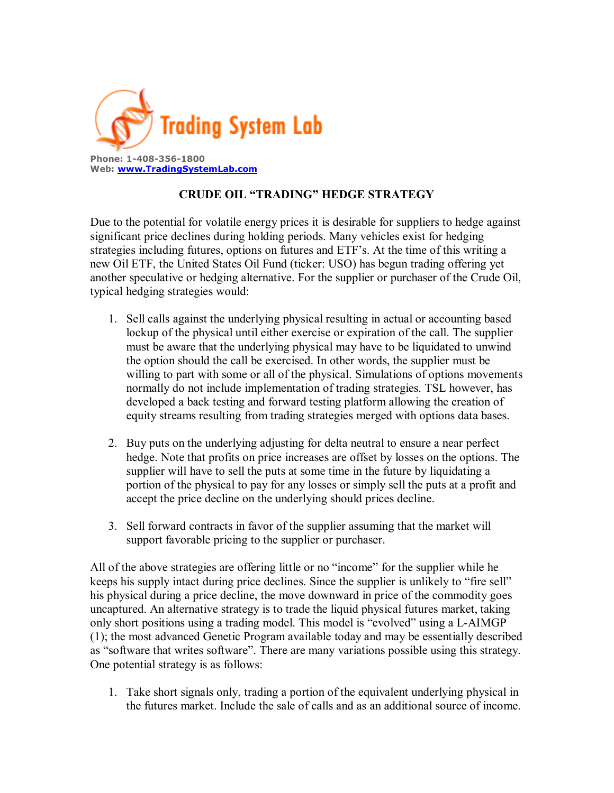

## **CRUDE OIL "TRADING" HEDGE STRATEGY**

Due to the potential for volatile energy prices it is desirable for suppliers to hedge against significant price declines during holding periods. Many vehicles exist for hedging strategies including futures, options on futures and ETF's. At the time of this writing a new Oil ETF, the United States Oil Fund (ticker: USO) has begun trading offering yet another speculative or hedging alternative. For the supplier or purchaser of the Crude Oil, typical hedging strategies would:

- 1. Sell calls against the underlying physical resulting in actual or accounting based lockup of the physical until either exercise or expiration of the call. The supplier must be aware that the underlying physical may have to be liquidated to unwind the option should the call be exercised. In other words, the supplier must be willing to part with some or all of the physical. Simulations of options movements normally do not include implementation of trading strategies. TSL however, has developed a back testing and forward testing platform allowing the creation of equity streams resulting from trading strategies merged with options data bases.
- 2. Buy puts on the underlying adjusting for delta neutral to ensure a near perfect hedge. Note that profits on price increases are offset by losses on the options. The supplier will have to sell the puts at some time in the future by liquidating a portion of the physical to pay for any losses or simply sell the puts at a profit and accept the price decline on the underlying should prices decline.
- 3. Sell forward contracts in favor of the supplier assuming that the market will support favorable pricing to the supplier or purchaser.

All of the above strategies are offering little or no "income" for the supplier while he keeps his supply intact during price declines. Since the supplier is unlikely to "fire sell" his physical during a price decline, the move downward in price of the commodity goes uncaptured. An alternative strategy is to trade the liquid physical futures market, taking only short positions using a trading model. This model is "evolved" using a L-AIMGP (1); the most advanced Genetic Program available today and may be essentially described as "software that writes software". There are many variations possible using this strategy. One potential strategy is as follows:

1. Take short signals only, trading a portion of the equivalent underlying physical in the futures market. Include the sale of calls and as an additional source of income.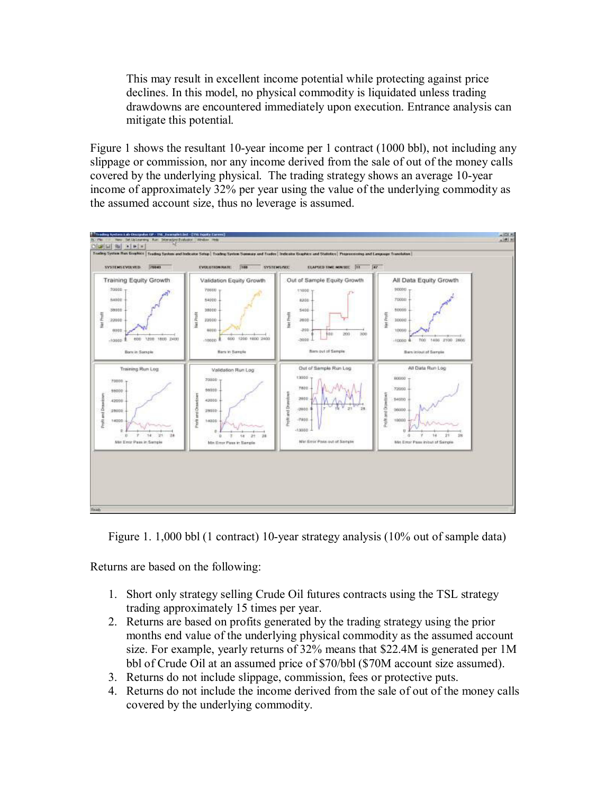This may result in excellent income potential while protecting against price declines. In this model, no physical commodity is liquidated unless trading drawdowns are encountered immediately upon execution. Entrance analysis can mitigate this potential.

Figure 1 shows the resultant 10-year income per 1 contract (1000 bbl), not including any slippage or commission, nor any income derived from the sale of out of the money calls covered by the underlying physical. The trading strategy shows an average 10-year income of approximately 32% per year using the value of the underlying commodity as the assumed account size, thus no leverage is assumed.



Figure 1. 1,000 bbl (1 contract) 10-year strategy analysis (10% out of sample data)

Returns are based on the following:

- 1. Short only strategy selling Crude Oil futures contracts using the TSL strategy trading approximately 15 times per year.
- 2. Returns are based on profits generated by the trading strategy using the prior months end value of the underlying physical commodity as the assumed account size. For example, yearly returns of 32% means that \$22.4M is generated per 1M bbl of Crude Oil at an assumed price of \$70/bbl (\$70M account size assumed).
- 3. Returns do not include slippage, commission, fees or protective puts.
- 4. Returns do not include the income derived from the sale of out of the money calls covered by the underlying commodity.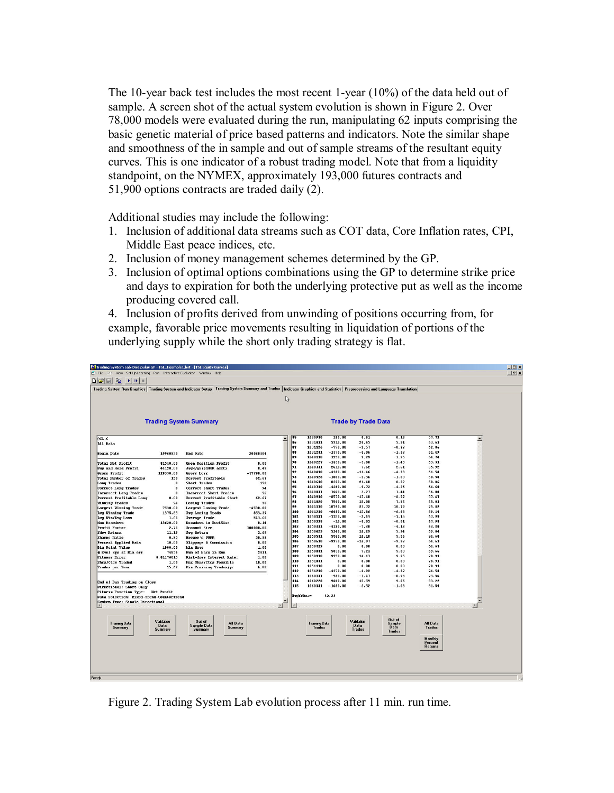The 10-year back test includes the most recent 1-year (10%) of the data held out of sample. A screen shot of the actual system evolution is shown in Figure 2. Over 78,000 models were evaluated during the run, manipulating 62 inputs comprising the basic genetic material of price based patterns and indicators. Note the similar shape and smoothness of the in sample and out of sample streams of the resultant equity curves. This is one indicator of a robust trading model. Note that from a liquidity standpoint, on the NYMEX, approximately 193,000 futures contracts and 51,900 options contracts are traded daily (2).

Additional studies may include the following:

- 1. Inclusion of additional data streams such as COT data, Core Inflation rates, CPI, Middle East peace indices, etc.
- 2. Inclusion of money management schemes determined by the GP.
- 3. Inclusion of optimal options combinations using the GP to determine strike price and days to expiration for both the underlying protective put as well as the income producing covered call.

4. Inclusion of profits derived from unwinding of positions occurring from, for example, favorable price movements resulting in liquidation of portions of the underlying supply while the short only trading strategy is flat.

| Trading System Lab-Discipulus GP - TSL_Example1.bst - [TSL Equity Curves]<br>Et File<br>Edit<br>View Set Up Learning Run Interactive Evaluator Window Help                        |                        |                                                  |                     |                                      |                      |                         |                       |                         |                           |                  | $-10x$<br>$ B$ $\times$ |
|-----------------------------------------------------------------------------------------------------------------------------------------------------------------------------------|------------------------|--------------------------------------------------|---------------------|--------------------------------------|----------------------|-------------------------|-----------------------|-------------------------|---------------------------|------------------|-------------------------|
| D E E<br>晒<br>$\blacktriangleright$ $\blacktriangleright$ $\blacktriangleright$<br>m                                                                                              |                        |                                                  |                     |                                      |                      |                         |                       |                         |                           |                  |                         |
| Trading System Run Graphics   Trading System and Indicator Setup   Trading System Summary and Trades   Indicator Graphics and Statistics   Preprocessing and Language Translation |                        |                                                  |                     |                                      |                      |                         |                       |                         |                           |                  |                         |
|                                                                                                                                                                                   |                        |                                                  |                     |                                      |                      |                         |                       |                         |                           |                  |                         |
|                                                                                                                                                                                   |                        |                                                  |                     | ß                                    |                      |                         |                       |                         |                           |                  |                         |
|                                                                                                                                                                                   |                        |                                                  |                     |                                      |                      |                         |                       |                         |                           |                  |                         |
|                                                                                                                                                                                   |                        |                                                  |                     |                                      |                      |                         |                       |                         |                           |                  |                         |
| <b>Trading System Summary</b>                                                                                                                                                     |                        | <b>Trade by Trade Data</b>                       |                     |                                      |                      |                         |                       |                         |                           |                  |                         |
|                                                                                                                                                                                   |                        |                                                  |                     |                                      |                      |                         |                       |                         |                           |                  |                         |
|                                                                                                                                                                                   |                        |                                                  |                     |                                      |                      |                         |                       |                         |                           |                  |                         |
| ect.c                                                                                                                                                                             |                        |                                                  |                     | 85<br>$\overline{\phantom{a}}$<br>86 | 1030930<br>1031031   | 180.00<br>5910.00       | 0.61<br>20.45         | 0.18<br>5.91            | 57.72<br>63.63            | $\blacktriangle$ |                         |
| All Data                                                                                                                                                                          |                        |                                                  |                     | 87                                   | 1031126              | $-770.00$               | $-2.57$               | $-0.77$                 | 62.86                     |                  |                         |
| <b>Begin Date</b>                                                                                                                                                                 | 19960820               | End Date                                         | 20060404            | 88                                   | 1031231              | $-1370.00$              | $-4.06$               | $-1.37$                 | 61.49                     |                  |                         |
|                                                                                                                                                                                   |                        |                                                  |                     | 89                                   | 1040130              | 3250.00                 | 9.29                  | 3.25                    | 64.74                     |                  |                         |
| <b>Total Net Profit</b>                                                                                                                                                           | 81540.00               | Open Position Profit                             | 0.00                | 90<br>91                             | 1040227<br>1040331   | $-1430.00$<br>2610.00   | $-3.88$<br>7.62       | $-1.43$<br>2.61         | 63.31<br>65.92            |                  |                         |
| Buy and Hold Profit<br>Gross Profit                                                                                                                                               | 44120.00<br>129330.00  | Avq%/yr(\$100K acct)<br><b>Gross Loss</b>        | 8.49<br>$-47790.00$ | 92                                   | 1040430              | $-4380.00$              | $-11.46$              | $-4.38$                 | 61.54                     |                  |                         |
| <b>Total Number of Trades</b>                                                                                                                                                     | 150                    | <b>Percent Profitable</b>                        | 62.67               | 93                                   | 1040528              | $-1000.00$              | $-2.36$               | $-1.00$                 | 60.54                     |                  |                         |
| <b>Long Trades</b>                                                                                                                                                                | $\mathbf{a}$           | <b>Short Trades</b>                              | 150                 | 94                                   | 1040630              | 8320.00                 | 21.48                 | 8.32                    | 68.86                     |                  |                         |
| <b>Correct Long Trades</b>                                                                                                                                                        | $\mathbf{a}$           | Correct Short Trades                             | 94                  | 95<br>96                             | 1040730              | $-4260.00$              | $-9.72$               | $-4.26$                 | 64.60                     |                  |                         |
| <b>Incorrect Long Trades</b>                                                                                                                                                      | n                      | <b>Incorrect Short Trades</b>                    | 56                  | 97                                   | 1040831<br>1040930   | 1440.00<br>$-8570.00$   | 3.27<br>$-17.10$      | 1.44<br>$-8.57$         | 66.04<br>57.47            |                  |                         |
| Percent Profitable Long<br><b>Winning Trades</b>                                                                                                                                  | 0.00<br>94             | Percent Profitable Short<br><b>Losing Trades</b> | 62.67<br>56         | 98                                   | 1041029              | 7560.00                 | 15.08                 | 7.56                    | 65.03                     |                  |                         |
| <b>Largest Winning Trade</b>                                                                                                                                                      | 7530.00                | Largest Losing Trade                             | $-4530.00$          | 99                                   | 1041130              | 10790.00                | 23.72                 | 10.79                   | 75.82                     |                  |                         |
| <b>Avg Winning Trade</b>                                                                                                                                                          | 1375.85                | <b>Avg Losing Trade</b>                          | 853.39              | 100                                  | 1041230              | $-6680.00$              | $-15.86$              | $-6.68$                 | 69.14                     |                  |                         |
| Avg Win/Avg Loss                                                                                                                                                                  | 1.61                   | <b>Average Trade</b>                             | 543.60              | 101<br>102                           | 1050131<br>1050228   | $-1150.00$<br>$-10.00$  | $-2.44$<br>$-0.02$    | $-1.15$<br>$-0.01$      | 67.99<br>67.98            |                  |                         |
| <b>Max Drawlown</b><br><b>Profit Factor</b>                                                                                                                                       | 13620.00<br>2.71       | Drawlown to AcctSize<br><b>Account Size</b>      | 0.14<br>100000.00   | 103                                  | 1050331              | $-4180.00$              | $-7.30$               | $-4.18$                 | 63.80                     |                  |                         |
| <b>Sdev Return</b>                                                                                                                                                                | 11.19                  | <b>Avq Return</b>                                | 2.69                | 104                                  | 1050429              | 5240.00                 | 10.29                 | 5.24                    | 69.04                     |                  |                         |
| <b>Sharpe Ratio</b>                                                                                                                                                               | 0.82                   | Brower's PRRR                                    | 20.88               | 105                                  | 1050531              | 5560.00                 | 10.18                 | 5.56                    | 74.60                     |                  |                         |
| Percent Applied Data                                                                                                                                                              | 10.00                  | Slippage & Commission                            | 0.00                | 106                                  | 1050630              | $-9970.00$              | $-16.97$              | $-9.97$                 | 64.63                     |                  |                         |
| <b>Big Point Value</b>                                                                                                                                                            | 1000.00                | Min Move                                         | 1.00                | 107<br>108                           | 1050729<br>1050831   | 0.00<br>5030.00         | 0.00<br>7.24          | 0.00<br>5.03            | 64.63<br>69.66            |                  |                         |
| # Evol Sys at Min err<br><b>Fitness Error</b>                                                                                                                                     | 74856<br>0.01476015    | Nun of Bars in Run<br>Risk-free Interest Rate:   | 2411<br>4.00        | 109                                  | 1050930              | 9250.00                 | 14.13                 | 9.25                    | 78.91                     |                  |                         |
| <b>Shrs/Ctcs Traded</b>                                                                                                                                                           | 1.00                   | Max Shrs/Ctcs Possible                           | 10.00               | 110                                  | 1051031              | 0.00                    | 0.00                  | 0.00                    | 78.91                     |                  |                         |
| <b>Trades per Year</b>                                                                                                                                                            | 15.62                  | Min Training Trades/vr                           | 6.00                | 111                                  | 1051130              | 0.00                    | 0.00                  | 0.00                    | 78.91                     |                  |                         |
|                                                                                                                                                                                   |                        |                                                  |                     | 112<br>113                           | 1051230<br>1060131   | $-4370.00$<br>$-980.00$ | $-6.92$<br>$-1.47$    | $-4.37$<br>$-0.98$      | 74.54<br>73.56            |                  |                         |
|                                                                                                                                                                                   |                        |                                                  |                     | 114                                  | 1060228              | 9660.00                 | 15.59                 | 9.66                    | 83.22                     |                  |                         |
| End of Day Trading on Close<br>Directional: Short Only                                                                                                                            | 115                    | 1060331                                          | $-1680.00$          | $-2.52$                              | $-1.68$              | 81.54                   |                       |                         |                           |                  |                         |
| <b>Fitness Function Type: Net Profit</b>                                                                                                                                          |                        |                                                  |                     |                                      |                      |                         |                       |                         |                           |                  |                         |
| Data Selection: Mixed-Trend-CounterTrend                                                                                                                                          |                        |                                                  |                     |                                      | AvgYrRoa=            | 32.23                   |                       |                         |                           |                  |                         |
| System Type: Single Directional                                                                                                                                                   |                        |                                                  |                     | $\vert$                              |                      |                         |                       |                         |                           |                  |                         |
|                                                                                                                                                                                   |                        |                                                  |                     |                                      |                      |                         |                       |                         |                           |                  |                         |
|                                                                                                                                                                                   |                        |                                                  |                     |                                      |                      |                         |                       |                         |                           |                  |                         |
| <b>Training Data</b>                                                                                                                                                              | Validation             | <b>Out of</b><br>All Data                        |                     |                                      | <b>Training Data</b> |                         | Validation            | <b>Out of</b><br>Sample | All Data                  |                  |                         |
| Summary                                                                                                                                                                           | <b>Data</b><br>Summarv | <b>Sample Data</b><br>Summary<br>Summary         |                     |                                      | <b>Trades</b>        |                         | Data<br><b>Trades</b> | Data                    | <b>Trades</b>             |                  |                         |
|                                                                                                                                                                                   |                        |                                                  |                     |                                      |                      |                         |                       | Trades                  |                           |                  |                         |
|                                                                                                                                                                                   |                        |                                                  |                     |                                      |                      |                         |                       |                         | <b>Monthly</b><br>Percent |                  |                         |
|                                                                                                                                                                                   |                        |                                                  |                     |                                      |                      |                         |                       |                         | <b>Returns</b>            |                  |                         |
|                                                                                                                                                                                   |                        |                                                  |                     |                                      |                      |                         |                       |                         |                           |                  |                         |
|                                                                                                                                                                                   |                        |                                                  |                     |                                      |                      |                         |                       |                         |                           |                  |                         |
|                                                                                                                                                                                   |                        |                                                  |                     |                                      |                      |                         |                       |                         |                           |                  |                         |
|                                                                                                                                                                                   |                        |                                                  |                     |                                      |                      |                         |                       |                         |                           |                  |                         |
| Ready                                                                                                                                                                             |                        |                                                  |                     |                                      |                      |                         |                       |                         |                           |                  |                         |

Figure 2. Trading System Lab evolution process after 11 min. run time.